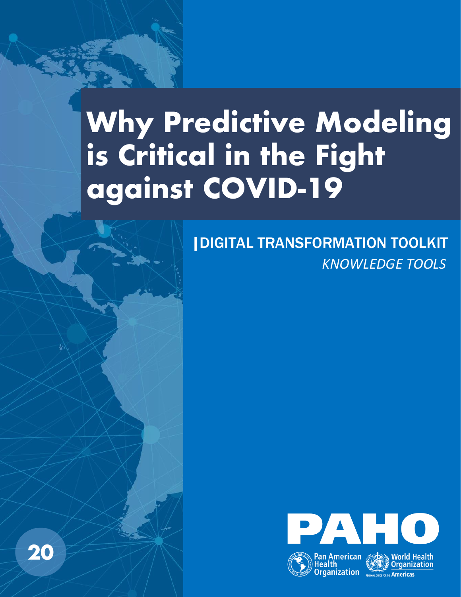# **Why Predictive Modeling is Critical in the Fight against COVID-19**

*KNOWLEDGE TOOLS* |DIGITAL TRANSFORMATION TOOLKIT



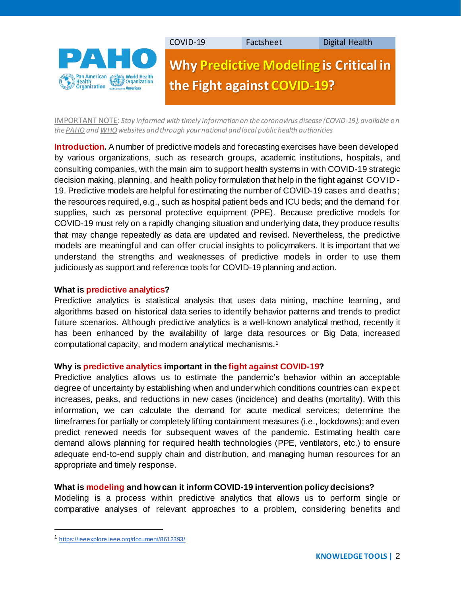

IMPORTANT NOTE: *Stay informed with timely information on the coronavirus disease (COVID-19), available on th[e PAHO](https://www.paho.org/en/topics/coronavirus-infections/coronavirus-disease-covid-19) an[d WHO](https://www.who.int/emergencies/diseases/novel-coronavirus-2019/advice-for-public)websites and through your national and local public health authorities*

**Introduction.** A number of predictive models and forecasting exercises have been developed by various organizations, such as research groups, academic institutions, hospitals, and consulting companies, with the main aim to support health systems in with COVID-19 strategic decision making, planning, and health policy formulation that help in the fight against COVID - 19. Predictive models are helpful for estimating the number of COVID-19 cases and deaths; the resources required, e.g., such as hospital patient beds and ICU beds; and the demand f or supplies, such as personal protective equipment (PPE). Because predictive models for COVID-19 must rely on a rapidly changing situation and underlying data, they produce results that may change repeatedly as data are updated and revised. Nevertheless, the predictive models are meaningful and can offer crucial insights to policymakers. It is important that we understand the strengths and weaknesses of predictive models in order to use them judiciously as support and reference tools for COVID-19 planning and action.

### **What is predictive analytics?**

Predictive analytics is statistical analysis that uses data mining, machine learning, and algorithms based on historical data series to identify behavior patterns and trends to predict future scenarios. Although predictive analytics is a well-known analytical method, recently it has been enhanced by the availability of large data resources or Big Data, increased computational capacity, and modern analytical mechanisms.<sup>1</sup>

# **Why is predictive analytics important in the fight against COVID-19?**

Predictive analytics allows us to estimate the pandemic's behavior within an acceptable degree of uncertainty by establishing when and under which conditions countries can expect increases, peaks, and reductions in new cases (incidence) and deaths (mortality). With this information, we can calculate the demand for acute medical services; determine the timeframes for partially or completely lifting containment measures (i.e., lockdowns); and even predict renewed needs for subsequent waves of the pandemic. Estimating health care demand allows planning for required health technologies (PPE, ventilators, etc.) to ensure adequate end-to-end supply chain and distribution, and managing human resources for an appropriate and timely response.

# **What is modeling and how can it inform COVID-19 intervention policy decisions?**

Modeling is a process within predictive analytics that allows us to perform single or comparative analyses of relevant approaches to a problem, considering benefits and

<sup>1</sup> [https://ieeexplore.ieee.org/document/8612393/](https://ieeexplore.ieee.org/document/8612393/?denied=)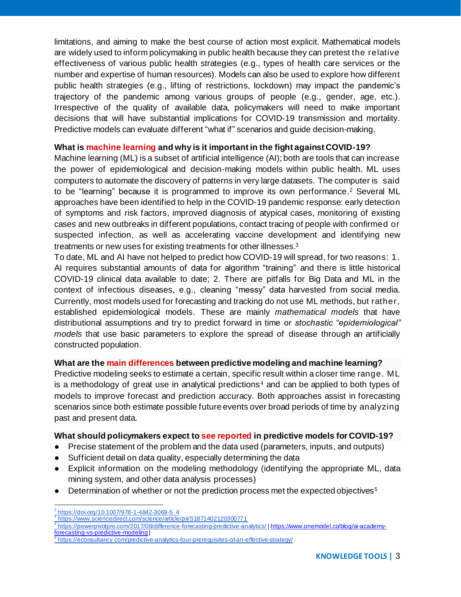limitations, and aiming to make the best course of action most explicit. Mathematical models are widely used to inform policymaking in public health because they can pretest the relative effectiveness of various public health strategies (e.g., types of health care services or the number and expertise of human resources). Models can also be used to explore how different public health strategies (e.g., lifting of restrictions, lockdown) may impact the pandemic's trajectory of the pandemic among various groups of people (e.g., gender, age, etc.). Irrespective of the quality of available data, policymakers will need to make important decisions that will have substantial implications for COVID-19 transmission and mortality. Predictive models can evaluate different "what if" scenarios and guide decision-making.

## **What is machine learning and why is it important in the fight against COVID-19?**

Machine learning (ML) is a subset of artificial intelligence (AI); both are tools that can increase the power of epidemiological and decision-making models within public health. ML uses computers to automate the discovery of patterns in very large datasets. The computer is said to be "learning" because it is programmed to improve its own performance. <sup>2</sup> Several ML approaches have been identified to help in the COVID-19 pandemic response: early detection of symptoms and risk factors, improved diagnosis of atypical cases, monitoring of existing cases and new outbreaks in different populations, contact tracing of people with confirmed or suspected infection, as well as accelerating vaccine development and identifying new treatments or new uses for existing treatments for other illnesses. 3

To date, ML and AI have not helped to predict how COVID-19 will spread, for two reasons: 1. AI requires substantial amounts of data for algorithm "training" and there is little historical COVID-19 clinical data available to date; 2. There are pitfalls for Big Data and ML in the context of infectious diseases, e.g., cleaning "messy" data harvested from social media. Currently, most models used for forecasting and tracking do not use ML methods, but rather, established epidemiological models. These are mainly *mathematical models* that have distributional assumptions and try to predict forward in time or *stochastic "epidemiological" models* that use basic parameters to explore the spread of disease through an artificially constructed population.

# **What are the main differences between predictive modeling and machine learning?**

Predictive modeling seeks to estimate a certain, specific result within a closer time range. ML is a methodology of great use in analytical predictions<sup>4</sup> and can be applied to both types of models to improve forecast and prediction accuracy. Both approaches assist in forecasting scenarios since both estimate possible future events over broad periods of time by analyzing past and present data.

### **What should policymakers expect to see reported in predictive models for COVID-19?**

- Precise statement of the problem and the data used (parameters, inputs, and outputs)
- Sufficient detail on data quality, especially determining the data
- Explicit information on the modeling methodology (identifying the appropriate ML, data mining system, and other data analysis processes)
- Determination of whether or not the prediction process met the expected objectives<sup>5</sup>

<sup>2</sup> [https://doi.org/10.1007/978-1-4842-3069-5\\_4](https://doi.org/10.1007/978-1-4842-3069-5_4)

<sup>3</sup> <https://www.sciencedirect.com/science/article/pii/S1871402120300771>

<sup>4</sup> <https://powerpivotpro.com/2017/08/difference-forecasting-predictive-analytics/> [| https://www.onemodel.co/blog/ai-academy](https://www.onemodel.co/blog/ai-academy-forecasting-vs-predictive-modeling)[forecasting-vs-predictive-modeling](https://www.onemodel.co/blog/ai-academy-forecasting-vs-predictive-modeling) |

<sup>&</sup>lt;sup>5</sup> <https://econsultancy.com/predictive-analytics-four-prerequisites-of-an-effective-strategy/>